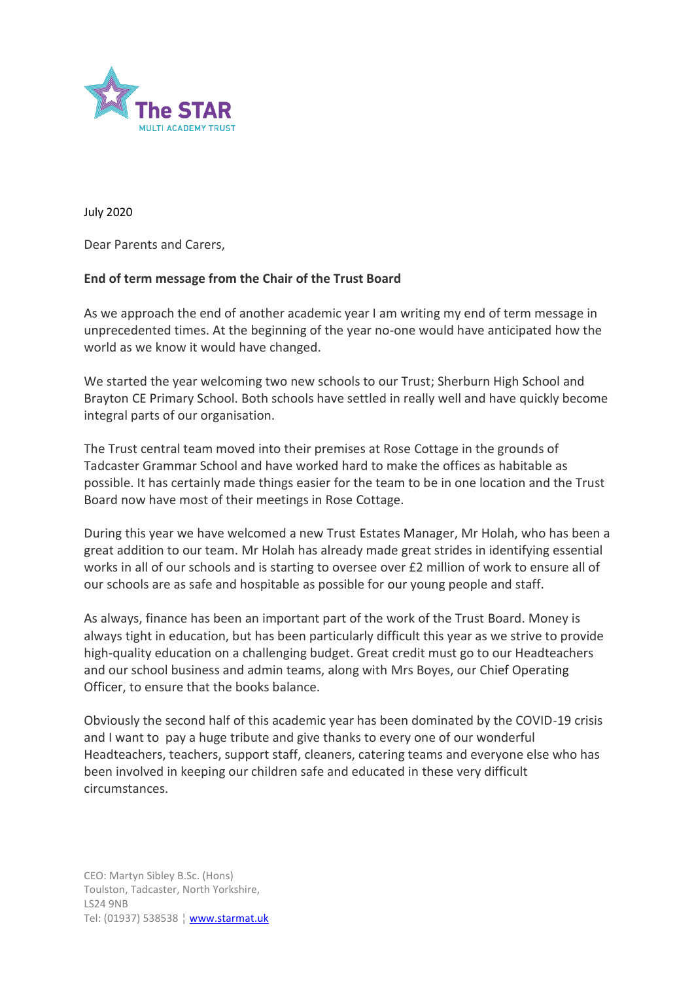

July 2020

Dear Parents and Carers,

## **End of term message from the Chair of the Trust Board**

As we approach the end of another academic year I am writing my end of term message in unprecedented times. At the beginning of the year no-one would have anticipated how the world as we know it would have changed.

We started the year welcoming two new schools to our Trust; Sherburn High School and Brayton CE Primary School. Both schools have settled in really well and have quickly become integral parts of our organisation.

The Trust central team moved into their premises at Rose Cottage in the grounds of Tadcaster Grammar School and have worked hard to make the offices as habitable as possible. It has certainly made things easier for the team to be in one location and the Trust Board now have most of their meetings in Rose Cottage.

During this year we have welcomed a new Trust Estates Manager, Mr Holah, who has been a great addition to our team. Mr Holah has already made great strides in identifying essential works in all of our schools and is starting to oversee over £2 million of work to ensure all of our schools are as safe and hospitable as possible for our young people and staff.

As always, finance has been an important part of the work of the Trust Board. Money is always tight in education, but has been particularly difficult this year as we strive to provide high-quality education on a challenging budget. Great credit must go to our Headteachers and our school business and admin teams, along with Mrs Boyes, our Chief Operating Officer, to ensure that the books balance.

Obviously the second half of this academic year has been dominated by the COVID-19 crisis and I want to pay a huge tribute and give thanks to every one of our wonderful Headteachers, teachers, support staff, cleaners, catering teams and everyone else who has been involved in keeping our children safe and educated in these very difficult circumstances.